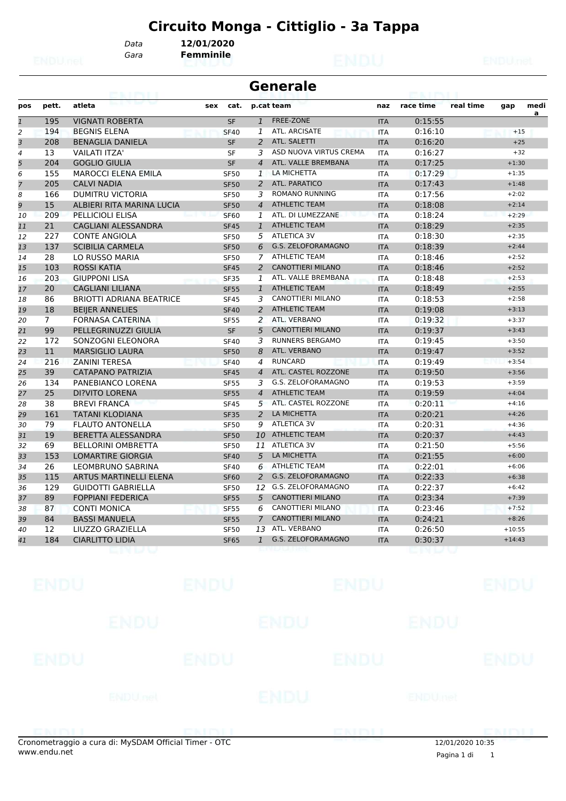*Gara* **Femminile**

*Data* **12/01/2020**

|     | <b>Generale</b> |                                 |     |             |                |                          |            |           |           |         |           |
|-----|-----------------|---------------------------------|-----|-------------|----------------|--------------------------|------------|-----------|-----------|---------|-----------|
| pos | pett.           | atleta                          | sex | cat.        |                | p.cat team               | naz        | race time | real time | gap     | medi<br>a |
| 1   | 195             | <b>VIGNATI ROBERTA</b>          |     | <b>SF</b>   | $\mathbf{1}$   | FREE-ZONE                | <b>ITA</b> | 0:15:55   |           |         |           |
| 2   | 194             | <b>BEGNIS ELENA</b>             |     | <b>SF40</b> | 1              | ATL. ARCISATE            | ITA        | 0:16:10   |           | $+15$   |           |
| 3   | 208             | <b>BENAGLIA DANIELA</b>         |     | <b>SF</b>   | $\mathcal{P}$  | ATL. SALETTI             | <b>ITA</b> | 0:16:20   |           | $+25$   |           |
| 4   | 13              | VAILATI ITZA'                   |     | SF          | 3              | ASD NUOVA VIRTUS CREMA   | <b>ITA</b> | 0:16:27   |           | $+32$   |           |
| 5   | 204             | <b>GOGLIO GIULIA</b>            |     | <b>SF</b>   | $\overline{4}$ | ATL. VALLE BREMBANA      | <b>ITA</b> | 0:17:25   |           | $+1:30$ |           |
| 6   | 155             | <b>MAROCCI ELENA EMILA</b>      |     | <b>SF50</b> | 1              | LA MICHETTA              | ITA        | 0:17:29   |           | $+1:35$ |           |
| 7   | 205             | <b>CALVI NADIA</b>              |     | <b>SF50</b> | $\mathcal{P}$  | ATL. PARATICO            | <b>ITA</b> | 0:17:43   |           | $+1:48$ |           |
| 8   | 166             | DUMITRU VICTORIA                |     | SF50        | 3              | <b>ROMANO RUNNING</b>    | <b>ITA</b> | 0:17:56   |           | $+2:02$ |           |
| 9   | 15              | ALBIERI RITA MARINA LUCIA       |     | <b>SF50</b> | $\overline{4}$ | <b>ATHLETIC TEAM</b>     | <b>ITA</b> | 0:18:08   |           | $+2:14$ |           |
| 10  | 209             | PELLICIOLI ELISA                |     | <b>SF60</b> | 7              | ATL. DI LUMEZZANE        | <b>ITA</b> | 0:18:24   |           | $+2:29$ |           |
| 11  | 21              | <b>CAGLIANI ALESSANDRA</b>      |     | <b>SF45</b> | 1              | <b>ATHLETIC TEAM</b>     | <b>ITA</b> | 0:18:29   |           | $+2:35$ |           |
| 12  | 227             | <b>CONTE ANGIOLA</b>            |     | <b>SF50</b> | 5.             | <b>ATLETICA 3V</b>       | <b>ITA</b> | 0:18:30   |           | $+2:35$ |           |
| 13  | 137             | <b>SCIBILIA CARMELA</b>         |     | <b>SF50</b> | 6              | G.S. ZELOFORAMAGNO       | <b>ITA</b> | 0:18:39   |           | $+2:44$ |           |
| 14  | 28              | LO RUSSO MARIA                  |     | <b>SF50</b> | 7              | <b>ATHLETIC TEAM</b>     | <b>ITA</b> | 0:18:46   |           | $+2:52$ |           |
| 15  | 103             | <b>ROSSI KATIA</b>              |     | <b>SF45</b> | $\mathcal{P}$  | <b>CANOTTIERI MILANO</b> | <b>ITA</b> | 0:18:46   |           | $+2:52$ |           |
| 16  | 203             | <b>GIUPPONI LISA</b>            |     | <b>SF35</b> | 1              | ATL. VALLE BREMBANA      | ITA        | 0:18:48   |           | $+2:53$ |           |
| 17  | 20              | CAGLIANI LILIANA                |     | <b>SF55</b> | 1              | <b>ATHLETIC TEAM</b>     | <b>ITA</b> | 0:18:49   |           | $+2:55$ |           |
| 18  | 86              | <b>BRIOTTI ADRIANA BEATRICE</b> |     | <b>SF45</b> | 3              | CANOTTIERI MILANO        | <b>ITA</b> | 0:18:53   |           | $+2:58$ |           |
| 19  | 18              | <b>BEIJER ANNELIES</b>          |     | <b>SF40</b> |                | <b>ATHLETIC TEAM</b>     | <b>ITA</b> | 0:19:08   |           | $+3:13$ |           |

| ಶ  | ⊥◡             | ALDILNI NITA MANINA LUCIA       | טכ זכ       |                | 4 AULELIC LEAP           | H A        | <b>0.10.00</b> | 1.2.1    |
|----|----------------|---------------------------------|-------------|----------------|--------------------------|------------|----------------|----------|
| 10 | 209            | PELLICIOLI ELISA                | <b>SF60</b> | 1              | ATL. DI LUMEZZANE        | <b>ITA</b> | 0:18:24        | $+2:29$  |
| 11 | 21             | CAGLIANI ALESSANDRA             | <b>SF45</b> | $\mathbf{1}$   | <b>ATHLETIC TEAM</b>     | <b>ITA</b> | 0:18:29        | $+2:35$  |
| 12 | 227            | <b>CONTE ANGIOLA</b>            | <b>SF50</b> | 5.             | ATLETICA 3V              | <b>ITA</b> | 0:18:30        | $+2:35$  |
| 13 | 137            | <b>SCIBILIA CARMELA</b>         | <b>SF50</b> |                | 6 G.S. ZELOFORAMAGNO     | <b>ITA</b> | 0:18:39        | $+2:44$  |
| 14 | 28             | LO RUSSO MARIA                  | <b>SF50</b> | $7^{\circ}$    | <b>ATHLETIC TEAM</b>     | <b>ITA</b> | 0:18:46        | $+2:52$  |
| 15 | 103            | <b>ROSSI KATIA</b>              | <b>SF45</b> | 2              | <b>CANOTTIERI MILANO</b> | <b>ITA</b> | 0:18:46        | $+2:52$  |
| 16 | 203            | <b>GIUPPONI LISA</b>            | <b>SF35</b> | 1              | ATL. VALLE BREMBANA      | <b>ITA</b> | 0:18:48        | $+2:53$  |
| 17 | 20             | <b>CAGLIANI LILIANA</b>         | <b>SF55</b> | $\mathbf{1}$   | <b>ATHLETIC TEAM</b>     | <b>ITA</b> | 0:18:49        | $+2:55$  |
| 18 | 86             | <b>BRIOTTI ADRIANA BEATRICE</b> | <b>SF45</b> | 3              | <b>CANOTTIERI MILANO</b> | <b>ITA</b> | 0:18:53        | $+2:58$  |
| 19 | 18             | <b>BEIJER ANNELIES</b>          | <b>SF40</b> | 2              | <b>ATHLETIC TEAM</b>     | <b>ITA</b> | 0:19:08        | $+3:13$  |
| 20 | $\overline{7}$ | <b>FORNASA CATERINA</b>         | <b>SF55</b> | 2              | ATL. VERBANO             | <b>ITA</b> | 0:19:32        | $+3:37$  |
| 21 | 99             | PELLEGRINUZZI GIULIA            | SF          | 5              | <b>CANOTTIERI MILANO</b> | <b>ITA</b> | 0:19:37        | $+3:43$  |
| 22 | 172            | SONZOGNI ELEONORA               | <b>SF40</b> | 3              | <b>RUNNERS BERGAMO</b>   | <b>ITA</b> | 0:19:45        | $+3:50$  |
| 23 | 11             | <b>MARSIGLIO LAURA</b>          | <b>SF50</b> | 8              | ATL. VERBANO             | <b>ITA</b> | 0:19:47        | $+3:52$  |
| 24 | 216            | <b>ZANINI TERESA</b>            | <b>SF40</b> | $\overline{a}$ | <b>RUNCARD</b>           | <b>ITA</b> | 0:19:49        | $+3:54$  |
| 25 | 39             | CATAPANO PATRIZIA               | <b>SF45</b> | $\overline{4}$ | ATL. CASTEL ROZZONE      | <b>ITA</b> | 0:19:50        | $+3:56$  |
| 26 | 134            | PANEBIANCO LORENA               | <b>SF55</b> | 3              | G.S. ZELOFORAMAGNO       | <b>ITA</b> | 0:19:53        | $+3:59$  |
| 27 | 25             | <b>DI?VITO LORENA</b>           | <b>SF55</b> | $\overline{4}$ | <b>ATHLETIC TEAM</b>     | <b>ITA</b> | 0:19:59        | $+4:04$  |
| 28 | 38             | <b>BREVI FRANCA</b>             | <b>SF45</b> | 5              | ATL. CASTEL ROZZONE      | <b>ITA</b> | 0:20:11        | $+4:16$  |
| 29 | 161            | <b>TATANI KLODIANA</b>          | <b>SF35</b> | $\mathcal{P}$  | LA MICHETTA              | <b>ITA</b> | 0:20:21        | $+4:26$  |
| 30 | 79             | <b>FLAUTO ANTONELLA</b>         | <b>SF50</b> | 9              | <b>ATLETICA 3V</b>       | <b>ITA</b> | 0:20:31        | $+4:36$  |
| 31 | 19             | BERETTA ALESSANDRA              | <b>SF50</b> | 10             | <b>ATHLETIC TEAM</b>     | <b>ITA</b> | 0:20:37        | $+4:43$  |
| 32 | 69             | <b>BELLORINI OMBRETTA</b>       | <b>SF50</b> | 11             | ATLETICA 3V              | <b>ITA</b> | 0:21:50        | $+5:56$  |
| 33 | 153            | <b>LOMARTIRE GIORGIA</b>        | <b>SF40</b> |                | 5 LA MICHETTA            | <b>ITA</b> | 0:21:55        | $+6:00$  |
| 34 | 26             | <b>LEOMBRUNO SABRINA</b>        | <b>SF40</b> | 6              | <b>ATHLETIC TEAM</b>     | <b>ITA</b> | 0:22:01        | $+6:06$  |
| 35 | 115            | <b>ARTUS MARTINELLI ELENA</b>   | <b>SF60</b> | 2              | G.S. ZELOFORAMAGNO       | <b>ITA</b> | 0:22:33        | $+6:38$  |
| 36 | 129            | <b>GUIDOTTI GABRIELLA</b>       | <b>SF50</b> | 12             | G.S. ZELOFORAMAGNO       | <b>ITA</b> | 0:22:37        | $+6:42$  |
| 37 | 89             | <b>FOPPIANI FEDERICA</b>        | <b>SF55</b> |                | 5 CANOTTIERI MILANO      | <b>ITA</b> | 0:23:34        | $+7:39$  |
| 38 | 87             | <b>CONTI MONICA</b>             | <b>SF55</b> | 6              | <b>CANOTTIERI MILANO</b> | <b>ITA</b> | 0:23:46        | $+7:52$  |
| 39 | 84             | <b>BASSI MANUELA</b>            | <b>SF55</b> | $\overline{7}$ | <b>CANOTTIERI MILANO</b> | <b>ITA</b> | 0:24:21        | $+8:26$  |
| 40 | 12             | LIUZZO GRAZIELLA                | <b>SF50</b> | 13             | ATL. VERBANO             | <b>ITA</b> | 0:26:50        | $+10:55$ |
| 41 | 184            | <b>CIARLITTO LIDIA</b>          | <b>SF65</b> | $\mathbf{1}$   | G.S. ZELOFORAMAGNO       | <b>ITA</b> | 0:30:37        | $+14:43$ |
|    |                |                                 |             |                |                          |            |                |          |

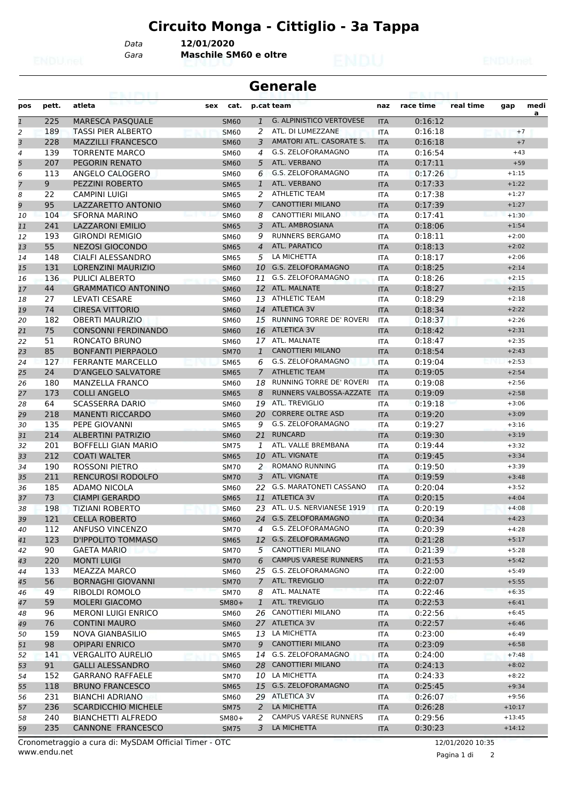*Data* **12/01/2020**

*Gara* **Maschile SM60 e oltre**

#### **Generale**

| pos                     | pett. | atleta                              | cat.<br>sex |                | p.cat team                                        | naz        | race time | real time | gap      | medi |
|-------------------------|-------|-------------------------------------|-------------|----------------|---------------------------------------------------|------------|-----------|-----------|----------|------|
| $\overline{1}$          | 225   | MARESCA PASQUALE                    | <b>SM60</b> | $\mathbf{1}$   | <b>G. ALPINISTICO VERTOVESE</b>                   | <b>ITA</b> | 0:16:12   |           |          | a    |
| $\overline{c}$          | 189   | <b>TASSI PIER ALBERTO</b>           | <b>SM60</b> | 2              | ATL. DI LUMEZZANE                                 | <b>ITA</b> | 0:16:18   |           | $+7$     |      |
| $\overline{\mathbf{3}}$ | 228   | <b>MAZZILLI FRANCESCO</b>           | <b>SM60</b> | 3              | AMATORI ATL. CASORATE S.                          | <b>ITA</b> | 0:16:18   |           | $+7$     |      |
| 4                       | 139   | <b>TORRENTE MARCO</b>               | <b>SM60</b> | 4              | G.S. ZELOFORAMAGNO                                | <b>ITA</b> | 0:16:54   |           | $+43$    |      |
| 5                       | 207   | <b>PEGORIN RENATO</b>               | <b>SM60</b> | 5              | ATL. VERBANO                                      | <b>ITA</b> | 0:17:11   |           | $+59$    |      |
| 6                       | 113   | ANGELO CALOGERO                     | <b>SM60</b> | 6              | G.S. ZELOFORAMAGNO                                | <b>ITA</b> | 0:17:26   |           | $+1:15$  |      |
| $\overline{7}$          | 9     | PEZZINI ROBERTO                     | <b>SM65</b> | $\mathbf{1}$   | ATL. VERBANO                                      | <b>ITA</b> | 0:17:33   |           | $+1:22$  |      |
| 8                       | 22    | <b>CAMPINI LUIGI</b>                | <b>SM65</b> | 2              | <b>ATHLETIC TEAM</b>                              | <b>ITA</b> | 0:17:38   |           | $+1:27$  |      |
| 9                       | 95    | LAZZARETTO ANTONIO                  | <b>SM60</b> | $\overline{7}$ | <b>CANOTTIERI MILANO</b>                          | <b>ITA</b> | 0:17:39   |           | $+1:27$  |      |
| 10                      | 104   | <b>SFORNA MARINO</b>                | <b>SM60</b> | 8              | CANOTTIERI MILANO                                 | <b>ITA</b> | 0:17:41   |           | $+1:30$  |      |
| 11                      | 241   | LAZZARONI EMILIO                    | <b>SM65</b> | 3              | ATL. AMBROSIANA                                   | <b>ITA</b> | 0:18:06   |           | $+1:54$  |      |
| 12                      | 193   | <b>GIRONDI REMIGIO</b>              | SM60        | 9              | <b>RUNNERS BERGAMO</b>                            | <b>ITA</b> | 0:18:11   |           | $+2:00$  |      |
| 13                      | 55    | <b>NEZOSI GIOCONDO</b>              | <b>SM65</b> | $\overline{4}$ | ATL. PARATICO                                     | <b>ITA</b> | 0:18:13   |           | $+2:02$  |      |
| 14                      | 148   | CIALFI ALESSANDRO                   | <b>SM65</b> | 5              | LA MICHETTA                                       | <b>ITA</b> | 0:18:17   |           | $+2:06$  |      |
| 15                      | 131   | <b>LORENZINI MAURIZIO</b>           | <b>SM60</b> | 10             | G.S. ZELOFORAMAGNO                                | <b>ITA</b> | 0:18:25   |           | $+2:14$  |      |
| 16                      | 136   | PULICI ALBERTO                      | <b>SM60</b> | 11             | G.S. ZELOFORAMAGNO                                | <b>ITA</b> | 0:18:26   |           | $+2:15$  |      |
| 17                      | 44    | <b>GRAMMATICO ANTONINO</b>          | <b>SM60</b> |                | 12 ATL. MALNATE                                   | <b>ITA</b> | 0:18:27   |           | $+2:15$  |      |
| 18                      | 27    | <b>LEVATI CESARE</b>                | <b>SM60</b> | 13             | <b>ATHLETIC TEAM</b>                              | <b>ITA</b> | 0:18:29   |           | $+2:18$  |      |
| 19                      | 74    | <b>CIRESA VITTORIO</b>              | <b>SM60</b> |                | 14 ATLETICA 3V                                    | <b>ITA</b> | 0:18:34   |           | $+2:22$  |      |
| 20                      | 182   | <b>OBERTI MAURIZIO</b>              | <b>SM60</b> |                | 15 RUNNING TORRE DE' ROVERI                       | <b>ITA</b> | 0:18:37   |           | $+2:26$  |      |
| 21                      | 75    | <b>CONSONNI FERDINANDO</b>          | <b>SM60</b> | 16             | <b>ATLETICA 3V</b>                                | <b>ITA</b> | 0:18:42   |           | $+2:31$  |      |
| 22                      | 51    | RONCATO BRUNO                       | <b>SM60</b> |                | 17 ATL. MALNATE                                   | <b>ITA</b> | 0:18:47   |           | $+2:35$  |      |
| 23                      | 85    | <b>BONFANTI PIERPAOLO</b>           | <b>SM70</b> | $\mathbf{1}$   | <b>CANOTTIERI MILANO</b>                          | <b>ITA</b> | 0:18:54   |           | $+2:43$  |      |
| 24                      | 127   | <b>FERRANTE MARCELLO</b>            | <b>SM65</b> | 6              | G.S. ZELOFORAMAGNO                                | <b>ITA</b> | 0:19:04   |           | $+2:53$  |      |
|                         | 24    | <b>D'ANGELO SALVATORE</b>           |             | $\overline{7}$ | <b>ATHLETIC TEAM</b>                              |            | 0:19:05   |           | $+2:54$  |      |
| 25                      |       | <b>MANZELLA FRANCO</b>              | <b>SM65</b> |                | RUNNING TORRE DE' ROVERI                          | <b>ITA</b> | 0:19:08   |           | $+2:56$  |      |
| 26                      | 180   |                                     | SM60        | 18             | RUNNERS VALBOSSA-AZZATE                           | <b>ITA</b> |           |           |          |      |
| 27                      | 173   | <b>COLLI ANGELO</b>                 | <b>SM65</b> | 8              |                                                   | <b>ITA</b> | 0:19:09   |           | $+2:58$  |      |
| 28                      | 64    | <b>SCASSERRA DARIO</b>              | <b>SM60</b> | 19             | <b>ATL. TREVIGLIO</b><br><b>CORRERE OLTRE ASD</b> | <b>ITA</b> | 0:19:18   |           | $+3:06$  |      |
| 29                      | 218   | <b>MANENTI RICCARDO</b>             | <b>SM60</b> | 20             | G.S. ZELOFORAMAGNO                                | <b>ITA</b> | 0:19:20   |           | $+3:09$  |      |
| 30                      | 135   | PEPE GIOVANNI                       | <b>SM65</b> | 9              |                                                   | <b>ITA</b> | 0:19:27   |           | $+3:16$  |      |
| 31                      | 214   | <b>ALBERTINI PATRIZIO</b>           | <b>SM60</b> | 21             | <b>RUNCARD</b>                                    | <b>ITA</b> | 0:19:30   |           | $+3:19$  |      |
| 32                      | 201   | <b>BOFFELLI GIAN MARIO</b>          | <b>SM75</b> | 1              | ATL. VALLE BREMBANA                               | <b>ITA</b> | 0:19:44   |           | $+3:32$  |      |
| 33                      | 212   | <b>COATI WALTER</b>                 | <b>SM65</b> | 10             | ATL. VIGNATE                                      | <b>ITA</b> | 0:19:45   |           | $+3:34$  |      |
| 34                      | 190   | <b>ROSSONI PIETRO</b>               | <b>SM70</b> | 2              | <b>ROMANO RUNNING</b>                             | <b>ITA</b> | 0:19:50   |           | $+3:39$  |      |
| 35                      | 211   | <b>RENCUROSI RODOLFO</b>            | <b>SM70</b> | $\overline{3}$ | ATL. VIGNATE                                      | <b>ITA</b> | 0:19:59   |           | $+3:48$  |      |
| 36                      | 185   | <b>ADAMO NICOLA</b>                 | SM60        | 22             | <b>G.S. MARATONETI CASSANO</b>                    | <b>ITA</b> | 0:20:04   |           | $+3:52$  |      |
| 37                      | 73    | <b>CIAMPI GERARDO</b>               | <b>SM65</b> |                | 11 ATLETICA 3V                                    | <b>ITA</b> | 0:20:15   |           | $+4:04$  |      |
| 38                      | 198   | <b>TIZIANI ROBERTO</b>              | <b>SM60</b> | 23             | ATL, U.S. NERVIANESE 1919                         | <b>ITA</b> | 0:20:19   |           | $+4:08$  |      |
| 39                      | 121   | <b>CELLA ROBERTO</b>                | <b>SM60</b> | 24             | G.S. ZELOFORAMAGNO                                | <b>ITA</b> | 0:20:34   |           | $+4:23$  |      |
| 40                      | 112   | ANFUSO VINCENZO                     | <b>SM70</b> | 4              | G.S. ZELOFORAMAGNO                                | ITA        | 0:20:39   |           | $+4:28$  |      |
| 41                      | 123   | D'IPPOLITO TOMMASO                  | <b>SM65</b> |                | 12 G.S. ZELOFORAMAGNO                             | <b>ITA</b> | 0:21:28   |           | $+5:17$  |      |
| 42                      | 90    | <b>GAETA MARIO</b><br>المساء المعنا | <b>SM70</b> |                | 5 CANOTTIERI MILANO                               | ITA        | 0:21:39   |           | $+5:28$  |      |
| 43                      | 220   | <b>MONTI LUIGI</b>                  | <b>SM70</b> | 6              | <b>CAMPUS VARESE RUNNERS</b>                      | <b>ITA</b> | 0:21:53   |           | $+5:42$  |      |
| 44                      | 133   | <b>MEAZZA MARCO</b>                 | <b>SM60</b> |                | 25 G.S. ZELOFORAMAGNO                             | ITA        | 0:22:00   |           | $+5:49$  |      |
| 45                      | 56    | <b>BORNAGHI GIOVANNI</b>            | <b>SM70</b> | $\overline{7}$ | ATL. TREVIGLIO                                    | <b>ITA</b> | 0:22:07   |           | $+5:55$  |      |
| 46                      | 49    | RIBOLDI ROMOLO                      | <b>SM70</b> | 8              | ATL. MALNATE                                      | ITA        | 0:22:46   |           | $+6:35$  |      |
| 47                      | 59    | MOLERI GIACOMO                      | SM80+       | $\mathbf{1}$   | ATL. TREVIGLIO                                    | <b>ITA</b> | 0:22:53   |           | $+6:41$  |      |
| 48                      | 96    | <b>MERONI LUIGI ENRICO</b>          | <b>SM60</b> |                | 26 CANOTTIERI MILANO                              | <b>ITA</b> | 0:22:56   |           | $+6:45$  |      |
| 49                      | 76    | <b>CONTINI MAURO</b>                | <b>SM60</b> |                | 27 ATLETICA 3V                                    | <b>ITA</b> | 0:22:57   |           | $+6:46$  |      |
| 50                      | 159   | NOVA GIANBASILIO                    | <b>SM65</b> | 13             | LA MICHETTA                                       | ITA        | 0:23:00   |           | $+6:49$  |      |
| 51                      | 98    | <b>OPIPARI ENRICO</b>               | <b>SM70</b> | 9              | <b>CANOTTIERI MILANO</b>                          | <b>ITA</b> | 0:23:09   |           | $+6:58$  |      |
| 52                      | 141   | <b>VERGALITO AURELIO</b>            | <b>SM65</b> |                | 14 G.S. ZELOFORAMAGNO                             | ITA        | 0:24:00   |           | $+7:48$  |      |
| 53                      | 91    | <b>GALLI ALESSANDRO</b>             | <b>SM60</b> | 28             | <b>CANOTTIERI MILANO</b>                          | <b>ITA</b> | 0:24:13   |           | $+8:02$  |      |
| 54                      | 152   | <b>GARRANO RAFFAELE</b>             | <b>SM70</b> | 10             | LA MICHETTA                                       | ITA        | 0:24:33   |           | $+8:22$  |      |
| 55                      | 118   | <b>BRUNO FRANCESCO</b>              | <b>SM65</b> |                | 15 G.S. ZELOFORAMAGNO                             | <b>ITA</b> | 0:25:45   |           | $+9:34$  |      |
| 56                      | 231   | <b>BIANCHI ADRIANO</b>              | <b>SM60</b> |                | 29 ATLETICA 3V                                    | ITA        | 0:26:07   |           | $+9:56$  |      |
| 57                      | 236   | <b>SCARDICCHIO MICHELE</b>          | <b>SM75</b> | 2              | LA MICHETTA                                       | <b>ITA</b> | 0:26:28   |           | $+10:17$ |      |
| 58                      | 240   | <b>BIANCHETTI ALFREDO</b>           | SM80+       | 2              | <b>CAMPUS VARESE RUNNERS</b>                      | ITA        | 0:29:56   |           | $+13:45$ |      |
| 59                      | 235   | CANNONE FRANCESCO                   | <b>SM75</b> | 3              | LA MICHETTA                                       | <b>ITA</b> | 0:30:23   |           | $+14:12$ |      |

Pagina 1 di 2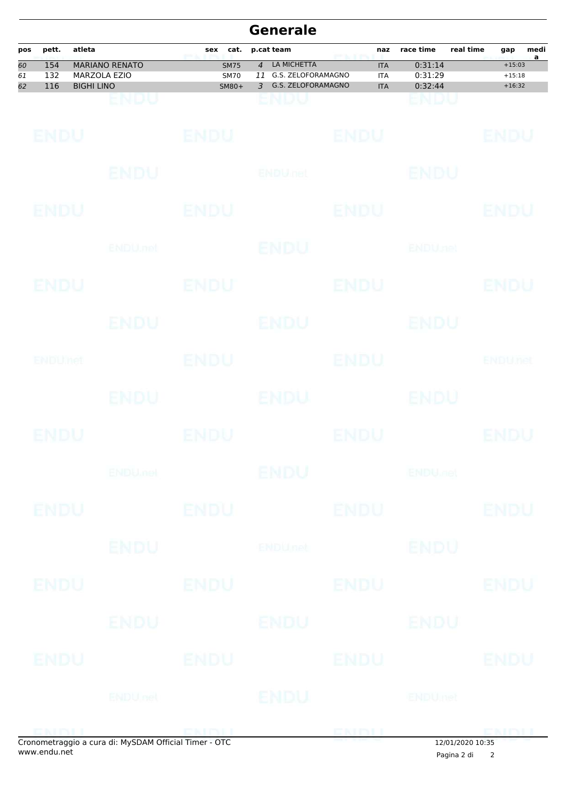|                             | <b>Generale</b>   |                   |                                                      |                                     |                                                                                      |             |                                        |                               |                      |                                  |           |
|-----------------------------|-------------------|-------------------|------------------------------------------------------|-------------------------------------|--------------------------------------------------------------------------------------|-------------|----------------------------------------|-------------------------------|----------------------|----------------------------------|-----------|
| pos                         | pett.             | atleta            |                                                      | cat.<br>sex                         | p.cat team                                                                           |             | naz                                    | race time                     | real time            | gap                              | medi<br>a |
| $\overline{60}$<br>61<br>62 | 154<br>132<br>116 | <b>BIGHI LINO</b> | <b>MARIANO RENATO</b><br><b>MARZOLA EZIO</b>         | <b>SM75</b><br><b>SM70</b><br>SM80+ | LA MICHETTA<br>$\overline{4}$<br>G.S. ZELOFORAMAGNO<br>11<br>G.S. ZELOFORAMAGNO<br>3 |             | <b>ITA</b><br><b>ITA</b><br><b>ITA</b> | 0:31:14<br>0:31:29<br>0:32:44 |                      | $+15:03$<br>$+15:18$<br>$+16:32$ |           |
|                             |                   |                   | ENDU                                                 |                                     | ENDU                                                                                 |             |                                        | ENDU                          |                      |                                  |           |
|                             | ENDU              |                   |                                                      | <b>ENDU</b>                         |                                                                                      | <b>ENDU</b> |                                        |                               |                      | ENDU                             |           |
|                             |                   |                   | ENDU                                                 |                                     | <b>ENDULTEL</b>                                                                      |             |                                        | ENDU                          |                      |                                  |           |
|                             | ENDU              |                   |                                                      | ENDU                                |                                                                                      | ENDU        |                                        |                               |                      | ENDU                             |           |
|                             |                   |                   | <b>ENDU</b> .net                                     |                                     | <b>ENDU</b>                                                                          |             |                                        | <b>ENDUnet</b>                |                      |                                  |           |
|                             | ENDU              |                   |                                                      | <b>ENDU</b>                         |                                                                                      | <b>ENDU</b> |                                        |                               |                      | ENDU                             |           |
|                             |                   |                   | ENDU                                                 |                                     | <b>ENDU</b>                                                                          |             |                                        | ENDU                          |                      |                                  |           |
|                             | ENDUMet           |                   |                                                      | <b>ENDU</b>                         |                                                                                      | ENDU        |                                        |                               |                      | <b>ENDUTEL</b>                   |           |
|                             |                   |                   | ENDU.                                                |                                     | ENDU                                                                                 |             |                                        | ENDU                          |                      |                                  |           |
|                             | ENDU              |                   |                                                      | ENDU                                |                                                                                      | ENDU        |                                        |                               |                      | ENDU                             |           |
|                             |                   |                   | <b>ENDU<sub>met</sub></b>                            |                                     | ENDU                                                                                 |             |                                        | <b>ENDU<sub>DER</sub></b>     |                      |                                  |           |
|                             | <b>ENDU</b>       |                   |                                                      | <b>ENDU</b>                         |                                                                                      | <b>ENDU</b> |                                        |                               |                      | <b>ENDU</b>                      |           |
|                             |                   |                   | <b>ENDU</b>                                          |                                     | <b>ENDUnet</b>                                                                       |             |                                        | <b>ENDU</b>                   |                      |                                  |           |
|                             | ENDU              |                   |                                                      | <b>ENDU</b>                         |                                                                                      | <b>ENDU</b> |                                        |                               |                      | <b>ENDU</b>                      |           |
|                             |                   |                   | ENDU                                                 |                                     | ENDU                                                                                 |             |                                        | ENDU                          |                      |                                  |           |
|                             | ENDU              |                   |                                                      | <b>ENDU</b>                         |                                                                                      | <b>ENDU</b> |                                        |                               |                      | <b>ENDU</b>                      |           |
|                             |                   |                   | <b>ENDUnet</b>                                       |                                     | <b>ENDU</b>                                                                          |             |                                        | <b>ENDUmet</b>                |                      |                                  |           |
|                             | ENDIL             |                   | Cronomotraggio a cura di: MySDAM Official Timor. OTC | <b>ENDI</b> L                       |                                                                                      | ENDLL       |                                        |                               | $12/01/2020$ $10.25$ | <b>CMDJJ</b>                     |           |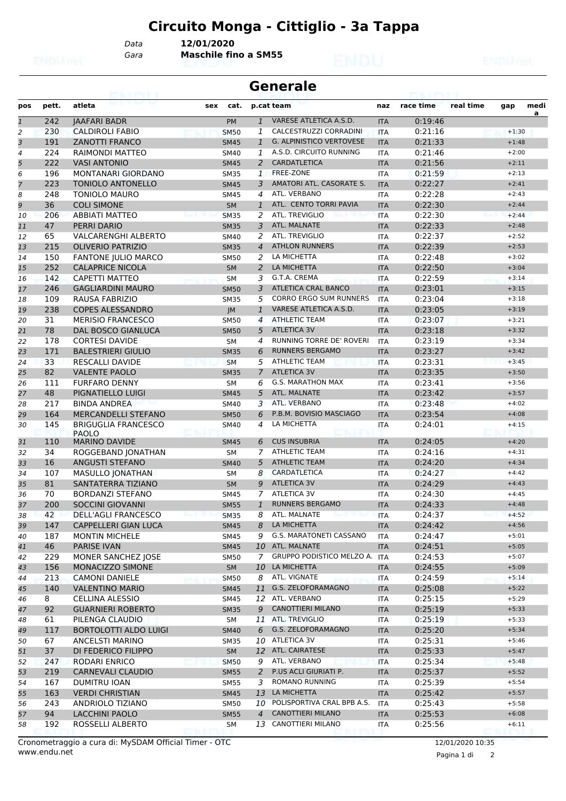*Data* **12/01/2020**

*Gara* **Maschile fino a SM55**

#### **Generale**

| pos          | pett. | atleta                                     | sex<br>cat. |                | p.cat team                      | naz                      | race time | real time | gap     | medi |
|--------------|-------|--------------------------------------------|-------------|----------------|---------------------------------|--------------------------|-----------|-----------|---------|------|
| $\mathbf{1}$ | 242   | <b>JAAFARI BADR</b>                        | PM          | $\mathbf{1}$   | VARESE ATLETICA A.S.D.          | <b>ITA</b>               | 0:19:46   |           |         | a    |
| 2            | 230   | <b>CALDIROLI FABIO</b>                     | <b>SM50</b> | 1              | CALCESTRUZZI CORRADINI          | <b>ITA</b>               | 0:21:16   |           | $+1:30$ |      |
| 3            | 191   | <b>ZANOTTI FRANCO</b>                      | <b>SM45</b> | $\mathbf{1}$   | <b>G. ALPINISTICO VERTOVESE</b> | <b>ITA</b>               | 0:21:33   |           | $+1:48$ |      |
| 4            | 224   | RAIMONDI MATTEO                            | SM40        | 1              | A.S.D. CIRCUITO RUNNING         | <b>ITA</b>               | 0:21:46   |           | $+2:00$ |      |
| 5            | 222   | <b>VASI ANTONIO</b>                        | <b>SM45</b> | $\overline{2}$ | <b>CARDATLETICA</b>             | <b>ITA</b>               | 0:21:56   |           | $+2:11$ |      |
| 6            | 196   | <b>MONTANARI GIORDANO</b>                  | <b>SM35</b> | $\mathbf{1}$   | <b>FREE-ZONE</b>                | <b>ITA</b>               | 0:21:59   |           | $+2:13$ |      |
| 7            | 223   | <b>TONIOLO ANTONELLO</b>                   | <b>SM45</b> | 3              | AMATORI ATL. CASORATE S.        | <b>ITA</b>               | 0:22:27   |           | $+2:41$ |      |
| 8            | 248   | <b>TONIOLO MAURO</b>                       | <b>SM45</b> | 4              | ATL. VERBANO                    | <b>ITA</b>               | 0:22:28   |           | $+2:43$ |      |
| 9            | 36    | <b>COLI SIMONE</b>                         | <b>SM</b>   | $\mathbf{1}$   | ATL. CENTO TORRI PAVIA          | <b>ITA</b>               | 0:22:30   |           | $+2:44$ |      |
| 10           | 206   | <b>ABBIATI MATTEO</b>                      | <b>SM35</b> | 2              | ATL. TREVIGLIO                  | <b>ITA</b>               | 0:22:30   |           | $+2:44$ |      |
| 11           | 47    | PERRI DARIO                                | <b>SM35</b> | 3              | ATL. MALNATE                    | <b>ITA</b>               | 0:22:33   |           | $+2:48$ |      |
| 12           | 65    | <b>VALCARENGHI ALBERTO</b>                 | SM40        | 2              | ATL. TREVIGLIO                  | <b>ITA</b>               | 0:22:37   |           | $+2:52$ |      |
| 13           | 215   | <b>OLIVERIO PATRIZIO</b>                   | <b>SM35</b> | $\overline{4}$ | <b>ATHLON RUNNERS</b>           | <b>ITA</b>               | 0:22:39   |           | $+2:53$ |      |
| 14           | 150   | <b>FANTONE JULIO MARCO</b>                 | <b>SM50</b> | 2              | LA MICHETTA                     | <b>ITA</b>               | 0:22:48   |           | $+3:02$ |      |
| 15           | 252   | <b>CALAPRICE NICOLA</b>                    | <b>SM</b>   | 2              | LA MICHETTA                     | <b>ITA</b>               | 0:22:50   |           | $+3:04$ |      |
| 16           | 142   | CAPETTI MATTEO                             | <b>SM</b>   | 3              | G.T.A. CREMA                    | <b>ITA</b>               | 0:22:59   |           | $+3:14$ |      |
| 17           | 246   | <b>GAGLIARDINI MAURO</b>                   | <b>SM50</b> | 3              | <b>ATLETICA CRAL BANCO</b>      | <b>ITA</b>               | 0:23:01   |           | $+3:15$ |      |
| 18           | 109   | <b>RAUSA FABRIZIO</b>                      | <b>SM35</b> | 5              | <b>CORRO ERGO SUM RUNNERS</b>   | <b>ITA</b>               | 0:23:04   |           | $+3:18$ |      |
| 19           | 238   | <b>COPES ALESSANDRO</b>                    | JM          | $\mathbf{1}$   | VARESE ATLETICA A.S.D.          | <b>ITA</b>               | 0:23:05   |           | $+3:19$ |      |
| 20           | 31    | <b>MERISIO FRANCESCO</b>                   | <b>SM50</b> | $\overline{4}$ | <b>ATHLETIC TEAM</b>            | <b>ITA</b>               | 0:23:07   |           | $+3:21$ |      |
| 21           | 78    | <b>DAL BOSCO GIANLUCA</b>                  | <b>SM50</b> | 5              | <b>ATLETICA 3V</b>              | <b>ITA</b>               | 0:23:18   |           | $+3:32$ |      |
| 22           | 178   | <b>CORTESI DAVIDE</b>                      | <b>SM</b>   | 4              | RUNNING TORRE DE' ROVERI        | <b>ITA</b>               | 0:23:19   |           | $+3:34$ |      |
| 23           | 171   | <b>BALESTRIERI GIULIO</b>                  | <b>SM35</b> | 6              | <b>RUNNERS BERGAMO</b>          | <b>ITA</b>               | 0:23:27   |           | $+3:42$ |      |
| 24           | 33    | <b>RESCALLI DAVIDE</b>                     | <b>SM</b>   | 5              | <b>ATHLETIC TEAM</b>            | <b>ITA</b>               | 0:23:31   |           | $+3:45$ |      |
| 25           | 82    | <b>VALENTE PAOLO</b>                       | <b>SM35</b> | 7              | <b>ATLETICA 3V</b>              | <b>ITA</b>               | 0:23:35   |           | $+3:50$ |      |
|              | 111   | <b>FURFARO DENNY</b>                       |             | 6              | <b>G.S. MARATHON MAX</b>        |                          | 0:23:41   |           | $+3:56$ |      |
| 26<br>27     | 48    | PIGNATIELLO LUIGI                          | <b>SM</b>   | 5              | ATL. MALNATE                    | <b>ITA</b>               | 0:23:42   |           | $+3:57$ |      |
|              | 217   |                                            | <b>SM45</b> | 3              | ATL. VERBANO                    | <b>ITA</b><br><b>ITA</b> | 0:23:48   |           | $+4:02$ |      |
| 28           | 164   | <b>BINDA ANDREA</b><br>MERCANDELLI STEFANO | SM40        | 6              | P.B.M. BOVISIO MASCIAGO         |                          | 0:23:54   |           |         |      |
| 29           |       |                                            | <b>SM50</b> |                | LA MICHETTA                     | <b>ITA</b>               |           |           | $+4:08$ |      |
| 30           | 145   | <b>BRIGUGLIA FRANCESCO</b><br><b>PAOLO</b> | SM40        | 4              |                                 | ITA                      | 0:24:01   |           | $+4:15$ |      |
| 31           | 110   | <b>MARINO DAVIDE</b>                       | <b>SM45</b> | 6              | <b>CUS INSUBRIA</b>             | <b>ITA</b>               | 0:24:05   |           | $+4:20$ |      |
| 32           | 34    | ROGGEBAND JONATHAN                         | SM          | 7              | <b>ATHLETIC TEAM</b>            | <b>ITA</b>               | 0:24:16   |           | $+4:31$ |      |
| 33           | 16    | <b>ANGUSTI STEFANO</b>                     | <b>SM40</b> | 5              | <b>ATHLETIC TEAM</b>            | <b>ITA</b>               | 0:24:20   |           | $+4:34$ |      |
| 34           | 107   | <b>MASULLO JONATHAN</b>                    | <b>SM</b>   | 8              | CARDATLETICA                    | <b>ITA</b>               | 0:24:27   |           | $+4:42$ |      |
| 35           | 81    | SANTATERRA TIZIANO                         | <b>SM</b>   | 9              | <b>ATLETICA 3V</b>              | <b>ITA</b>               | 0:24:29   |           | $+4:43$ |      |
| 36           | 70    | <b>BORDANZI STEFANO</b>                    | <b>SM45</b> | 7              | <b>ATLETICA 3V</b>              | ITA                      | 0:24:30   |           | $+4:45$ |      |
| 37           | 200   | <b>SOCCINI GIOVANNI</b>                    | <b>SM55</b> | $\mathbf{1}$   | <b>RUNNERS BERGAMO</b>          | <b>ITA</b>               | 0:24:33   |           | $+4:48$ |      |
| 38           | 42    | DELL'AGLI FRANCESCO                        | <b>SM35</b> | 8              | ATL. MALNATE                    | <b>ITA</b>               | 0:24:37   |           | $+4:52$ |      |
| 39           | 147   | CAPPELLERI GIAN LUCA                       | <b>SM45</b> | 8              | LA MICHETTA                     | <b>ITA</b>               | 0:24:42   |           | $+4:56$ |      |
| 40           | 187   | <b>MONTIN MICHELE</b>                      | SM45        | 9              | G.S. MARATONETI CASSANO         | ITA                      | 0:24:47   |           | $+5:01$ |      |
| 41           | 46    | <b>PARISE IVAN</b>                         | <b>SM45</b> |                | 10 ATL. MALNATE                 | <b>ITA</b>               | 0:24:51   |           | $+5:05$ |      |
| 42           | 229   | MONER SANCHEZ JOSE                         | SM50        | $\overline{7}$ | GRUPPO PODISTICO MELZO A. ITA   |                          | 0:24:53   |           | $+5:07$ |      |
| 43           | 156   | MONACIZZO SIMONE                           | SM          | 10             | LA MICHETTA                     | <b>ITA</b>               | 0:24:55   |           | $+5:09$ |      |
| 44           | 213   | <b>CAMONI DANIELE</b>                      | <b>SM50</b> | 8              | ATL. VIGNATE                    | ITA                      | 0:24:59   |           | $+5:14$ |      |
| 45           | 140   | <b>VALENTINO MARIO</b>                     | <b>SM45</b> | 11             | G.S. ZELOFORAMAGNO              | <b>ITA</b>               | 0:25:08   |           | $+5:22$ |      |
| 46           | 8     | CELLINA ALESSIO                            | SM45        |                | 12 ATL. VERBANO                 | ITA                      | 0:25:15   |           | $+5:29$ |      |
| 47           | 92    | <b>GUARNIERI ROBERTO</b>                   | <b>SM35</b> | 9              | <b>CANOTTIERI MILANO</b>        | <b>ITA</b>               | 0:25:19   |           | $+5:33$ |      |
| 48           | 61    | PILENGA CLAUDIO                            | SM          |                | 11 ATL. TREVIGLIO               | ITA                      | 0:25:19   |           | $+5:33$ |      |
| 49           | 117   | <b>BORTOLOTTI ALDO LUIGI</b>               | <b>SM40</b> | 6              | G.S. ZELOFORAMAGNO              | <b>ITA</b>               | 0:25:20   |           | $+5:34$ |      |
| 50           | 67    | ANCELSTI MARINO                            | SM35        | 10             | ATLETICA 3V                     | <b>ITA</b>               | 0:25:31   |           | $+5:46$ |      |
| 51           | 37    | DI FEDERICO FILIPPO                        | SM          |                | 12 ATL. CAIRATESE               | <b>ITA</b>               | 0:25:33   |           | $+5:47$ |      |
| 52           | 247   | RODARI ENRICO                              | <b>SM50</b> | 9              | ATL. VERBANO                    | <b>ITA</b>               | 0:25:34   |           | $+5:48$ |      |
| 53           | 219   | <b>CARNEVALI CLAUDIO</b>                   | <b>SM55</b> | $\overline{a}$ | P.US ACLI GIURIATI P.           | <b>ITA</b>               | 0:25:37   |           | $+5:52$ |      |
| 54           | 167   | DUMITRU IOAN                               | SM55        | 3              | ROMANO RUNNING                  | ITA                      | 0:25:39   |           | $+5:54$ |      |
| 55           | 163   | <b>VERDI CHRISTIAN</b>                     | <b>SM45</b> |                | 13 LA MICHETTA                  | <b>ITA</b>               | 0:25:42   |           | $+5:57$ |      |
| 56           | 243   | ANDRIOLO TIZIANO                           | <b>SM50</b> | 10             | POLISPORTIVA CRAL BPB A.S.      | ITA                      | 0:25:43   |           | $+5:58$ |      |
| 57           | 94    | <b>LACCHINI PAOLO</b>                      | <b>SM55</b> | $\overline{4}$ | CANOTTIERI MILANO               | <b>ITA</b>               | 0:25:53   |           | $+6:08$ |      |
| 58           | 192   | ROSSELLI ALBERTO                           | SM          |                | 13 CANOTTIERI MILANO            | ITA                      | 0:25:56   |           | $+6:11$ |      |
|              |       |                                            |             |                |                                 |                          |           |           |         |      |

Pagina 1 di 2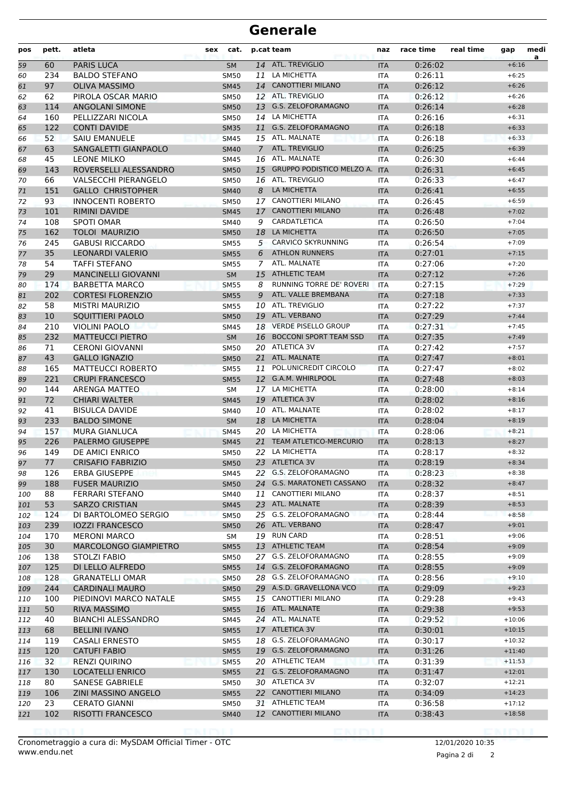### **Generale**

| pos | pett. | atleta                      | cat.<br>sex |               | p.cat team                       | naz        | race time | real time | gap      | medi<br>a |
|-----|-------|-----------------------------|-------------|---------------|----------------------------------|------------|-----------|-----------|----------|-----------|
| 59  | 60    | <b>PARIS LUCA</b>           | <b>SM</b>   |               | 14 ATL. TREVIGLIO                | <b>ITA</b> | 0:26:02   |           | $+6:16$  |           |
| 60  | 234   | <b>BALDO STEFANO</b>        | <b>SM50</b> |               | 11 LA MICHETTA                   | ITA        | 0:26:11   |           | $+6:25$  |           |
| 61  | 97    | <b>OLIVA MASSIMO</b>        | <b>SM45</b> | 14            | <b>CANOTTIERI MILANO</b>         | <b>ITA</b> | 0:26:12   |           | $+6:26$  |           |
| 62  | 62    | PIROLA OSCAR MARIO          | <b>SM50</b> |               | 12 ATL. TREVIGLIO                | <b>ITA</b> | 0:26:12   |           | $+6:26$  |           |
| 63  | 114   | <b>ANGOLANI SIMONE</b>      | <b>SM50</b> | 13            | <b>G.S. ZELOFORAMAGNO</b>        | <b>ITA</b> | 0:26:14   |           | $+6:28$  |           |
| 64  | 160   | PELLIZZARI NICOLA           | <b>SM50</b> |               | 14 LA MICHETTA                   | ITA        | 0:26:16   |           | $+6:31$  |           |
| 65  | 122   | <b>CONTI DAVIDE</b>         | <b>SM35</b> | 11            | G.S. ZELOFORAMAGNO               | <b>ITA</b> | 0:26:18   |           | $+6:33$  |           |
| 66  | 52    | <b>SAIU EMANUELE</b>        | <b>SM45</b> |               | 15 ATL. MALNATE                  | <b>ITA</b> | 0:26:18   |           | $+6:33$  |           |
| 67  | 63    | SANGALETTI GIANPAOLO        | <b>SM40</b> | $7^{\circ}$   | <b>ATL. TREVIGLIO</b>            | <b>ITA</b> | 0:26:25   |           | $+6:39$  |           |
| 68  | 45    | <b>LEONE MILKO</b>          | SM45        |               | 16 ATL. MALNATE                  | <b>ITA</b> | 0:26:30   |           | $+6:44$  |           |
| 69  | 143   | ROVERSELLI ALESSANDRO       | <b>SM50</b> | 15            | <b>GRUPPO PODISTICO MELZO A.</b> | <b>ITA</b> | 0:26:31   |           | $+6:45$  |           |
| 70  | 66    | <b>VALSECCHI PIERANGELO</b> | SM50        |               | 16 ATL. TREVIGLIO                | <b>ITA</b> | 0:26:33   |           | $+6:47$  |           |
| 71  | 151   | <b>GALLO CHRISTOPHER</b>    | <b>SM40</b> | 8             | LA MICHETTA                      | <b>ITA</b> | 0:26:41   |           | $+6:55$  |           |
| 72  | 93    | <b>INNOCENTI ROBERTO</b>    | <b>SM50</b> |               | 17 CANOTTIERI MILANO             | <b>ITA</b> | 0:26:45   |           | $+6:59$  |           |
| 73  | 101   | <b>RIMINI DAVIDE</b>        | <b>SM45</b> | 17            | <b>CANOTTIERI MILANO</b>         | <b>ITA</b> | 0:26:48   |           | $+7:02$  |           |
| 74  | 108   | <b>SPOTI OMAR</b>           | SM40        | 9             | CARDATLETICA                     | <b>ITA</b> | 0:26:50   |           | $+7:04$  |           |
| 75  | 162   | <b>TOLOI MAURIZIO</b>       | <b>SM50</b> | 18            | LA MICHETTA                      | <b>ITA</b> | 0:26:50   |           | $+7:05$  |           |
| 76  | 245   | <b>GABUSI RICCARDO</b>      | <b>SM55</b> | 5             | <b>CARVICO SKYRUNNING</b>        | <b>ITA</b> | 0:26:54   |           | $+7:09$  |           |
| 77  | 35    | <b>LEONARDI VALERIO</b>     | <b>SM55</b> | 6             | <b>ATHLON RUNNERS</b>            | <b>ITA</b> | 0:27:01   |           | $+7:15$  |           |
| 78  | 54    | <b>TAFFI STEFANO</b>        | <b>SM55</b> | $\mathcal{I}$ | ATL. MALNATE                     | <b>ITA</b> | 0:27:06   |           | $+7:20$  |           |
|     | 29    | <b>MANCINELLI GIOVANNI</b>  | <b>SM</b>   | 15            | <b>ATHLETIC TEAM</b>             | <b>ITA</b> | 0:27:12   |           | $+7:26$  |           |
| 79  |       | <b>BARBETTA MARCO</b>       |             |               | RUNNING TORRE DE' ROVERI         |            | 0:27:15   |           | $+7:29$  |           |
| 80  | 174   |                             | <b>SM55</b> | 8             | ATL. VALLE BREMBANA              | <b>ITA</b> |           |           |          |           |
| 81  | 202   | <b>CORTESI FLORENZIO</b>    | <b>SM55</b> | 9             |                                  | <b>ITA</b> | 0:27:18   |           | $+7:33$  |           |
| 82  | 58    | <b>MISTRI MAURIZIO</b>      | <b>SM55</b> |               | 10 ATL. TREVIGLIO                | <b>ITA</b> | 0:27:22   |           | $+7:37$  |           |
| 83  | 10    | <b>SQUITTIERI PAOLO</b>     | <b>SM50</b> |               | 19 ATL. VERBANO                  | <b>ITA</b> | 0:27:29   |           | $+7:44$  |           |
| 84  | 210   | <b>VIOLINI PAOLO</b>        | SM45        |               | 18 VERDE PISELLO GROUP           | <b>ITA</b> | 0:27:31   |           | $+7:45$  |           |
| 85  | 232   | <b>MATTEUCCI PIETRO</b>     | <b>SM</b>   | 16            | <b>BOCCONI SPORT TEAM SSD</b>    | <b>ITA</b> | 0:27:35   |           | $+7:49$  |           |
| 86  | 71    | <b>CERONI GIOVANNI</b>      | <b>SM50</b> |               | 20 ATLETICA 3V                   | <b>ITA</b> | 0:27:42   |           | $+7:57$  |           |
| 87  | 43    | <b>GALLO IGNAZIO</b>        | <b>SM50</b> | 21            | ATL. MALNATE                     | <b>ITA</b> | 0:27:47   |           | $+8:01$  |           |
| 88  | 165   | <b>MATTEUCCI ROBERTO</b>    | <b>SM55</b> | 11            | POL.UNICREDIT CIRCOLO            | <b>ITA</b> | 0:27:47   |           | $+8:02$  |           |
| 89  | 221   | <b>CRUPI FRANCESCO</b>      | <b>SM55</b> |               | 12 G.A.M. WHIRLPOOL              | <b>ITA</b> | 0:27:48   |           | $+8:03$  |           |
| 90  | 144   | <b>ARENGA MATTEO</b>        | <b>SM</b>   |               | 17 LA MICHETTA                   | ITA        | 0:28:00   |           | $+8:14$  |           |
| 91  | 72    | <b>CHIARI WALTER</b>        | <b>SM45</b> |               | 19 ATLETICA 3V                   | <b>ITA</b> | 0:28:02   |           | $+8:16$  |           |
| 92  | 41    | <b>BISULCA DAVIDE</b>       | <b>SM40</b> |               | 10 ATL. MALNATE                  | <b>ITA</b> | 0:28:02   |           | $+8:17$  |           |
| 93  | 233   | <b>BALDO SIMONE</b>         | <b>SM</b>   |               | 18 LA MICHETTA                   | <b>ITA</b> | 0:28:04   |           | $+8:19$  |           |
| 94  | 157   | <b>MURA GIANLUCA</b>        | <b>SM45</b> |               | 20 LA MICHETTA                   | <b>ITA</b> | 0:28:06   |           | $+8:21$  |           |
| 95  | 226   | PALERMO GIUSEPPE            | <b>SM45</b> |               | 21 TEAM ATLETICO-MERCURIO        | <b>ITA</b> | 0:28:13   |           | $+8:27$  |           |
| 96  | 149   | DE AMICI ENRICO             | <b>SM50</b> |               | 22 LA MICHETTA                   | <b>ITA</b> | 0:28:17   |           | $+8:32$  |           |
| 97  | 77    | <b>CRISAFIO FABRIZIO</b>    | <b>SM50</b> |               | 23 ATLETICA 3V                   | <b>ITA</b> | 0:28:19   |           | $+8:34$  |           |
| 98  | 126   | ERBA GIUSEPPE               | SM45        |               | 22 G.S. ZELOFORAMAGNO            | ITA        | 0:28:23   |           | $+8:38$  |           |
| 99  | 188   | <b>FUSER MAURIZIO</b>       | <b>SM50</b> |               | 24 G.S. MARATONETI CASSANO       | <b>ITA</b> | 0:28:32   |           | $+8:47$  |           |
| 100 | 88    | FERRARI STEFANO             | SM40        | 11            | CANOTTIERI MILANO                | ITA        | 0:28:37   |           | $+8:51$  |           |
| 101 | 53    | <b>SARZO CRISTIAN</b>       | <b>SM45</b> |               | 23 ATL. MALNATE                  | <b>ITA</b> | 0:28:39   |           | $+8:53$  |           |
| 102 | 124   | DI BARTOLOMEO SERGIO        | <b>SM50</b> |               | 25 G.S. ZELOFORAMAGNO            | ITA        | 0:28:44   |           | $+8:58$  |           |
| 103 | 239   | <b>IOZZI FRANCESCO</b>      | <b>SM50</b> |               | 26 ATL. VERBANO                  | <b>ITA</b> | 0:28:47   |           | $+9:01$  |           |
| 104 | 170   | <b>MERONI MARCO</b>         | SM          |               | 19 RUN CARD                      | <b>ITA</b> | 0:28:51   |           | $+9:06$  |           |
| 105 | 30    | MARCOLONGO GIAMPIETRO       | <b>SM55</b> |               | 13 ATHLETIC TEAM                 | <b>ITA</b> | 0:28:54   |           | $+9:09$  |           |
| 106 | 138   | <b>STOLZI FABIO</b>         | SM50        |               | 27 G.S. ZELOFORAMAGNO            | ITA        | 0:28:55   |           | $+9:09$  |           |
| 107 | 125   | DI LELLO ALFREDO            | <b>SM55</b> |               | 14 G.S. ZELOFORAMAGNO            | <b>ITA</b> | 0:28:55   |           | $+9:09$  |           |
| 108 | 128   | <b>GRANATELLI OMAR</b>      | <b>SM50</b> |               | 28 G.S. ZELOFORAMAGNO            | ITA        | 0:28:56   |           | $+9:10$  |           |
| 109 | 244   | <b>CARDINALI MAURO</b>      | <b>SM50</b> |               | 29 A.S.D. GRAVELLONA VCO         | <b>ITA</b> | 0:29:09   |           | $+9:23$  |           |
| 110 | 100   | PIEDINOVI MARCO NATALE      | SM55        |               | 15 CANOTTIERI MILANO             | ITA        | 0:29:28   |           | $+9:43$  |           |
| 111 | 50    | <b>RIVA MASSIMO</b>         | <b>SM55</b> |               | 16 ATL. MALNATE                  | <b>ITA</b> | 0:29:38   |           | $+9:53$  |           |
| 112 | 40    | <b>BIANCHI ALESSANDRO</b>   | SM45        |               | 24 ATL. MALNATE                  | ITA        | 0:29:52   |           | $+10:06$ |           |
| 113 | 68    | <b>BELLINI IVANO</b>        | <b>SM55</b> |               | 17 ATLETICA 3V                   | <b>ITA</b> | 0:30:01   |           | $+10:15$ |           |
| 114 | 119   | <b>CASALI ERNESTO</b>       | SM55        |               | 18 G.S. ZELOFORAMAGNO            | ITA        | 0:30:17   |           | $+10:32$ |           |
| 115 | 120   | <b>CATUFI FABIO</b>         | <b>SM55</b> |               | 19 G.S. ZELOFORAMAGNO            | <b>ITA</b> | 0:31:26   |           | $+11:40$ |           |
| 116 | 32    | <b>RENZI QUIRINO</b>        | <b>SM55</b> |               | 20 ATHLETIC TEAM                 | ITA        | 0:31:39   |           | $+11:53$ |           |
| 117 | 130   | <b>LOCATELLI ENRICO</b>     | <b>SM55</b> |               | 21 G.S. ZELOFORAMAGNO            | <b>ITA</b> | 0:31:47   |           | $+12:01$ |           |
| 118 | 80    | SANESE GABRIELE             | SM50        |               | 30 ATLETICA 3V                   | ITA        | 0:32:07   |           | $+12:21$ |           |
| 119 | 106   | ZINI MASSINO ANGELO         | <b>SM55</b> |               | 22 CANOTTIERI MILANO             | <b>ITA</b> | 0:34:09   |           | $+14:23$ |           |
| 120 | 23    | <b>CERATO GIANNI</b>        | SM50        |               | 31 ATHLETIC TEAM                 | ITA        | 0:36:58   |           | $+17:12$ |           |
| 121 | 102   | <b>RISOTTI FRANCESCO</b>    | <b>SM40</b> |               | 12 CANOTTIERI MILANO             | <b>ITA</b> | 0:38:43   |           | $+18:58$ |           |
|     |       |                             |             |               |                                  |            |           |           |          |           |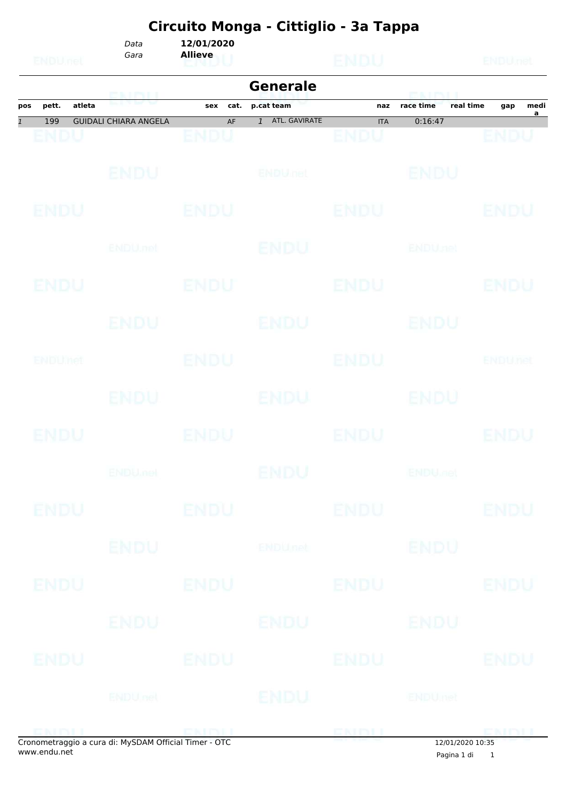|                           | <b>EMDUnet</b> |        | Data<br>Gara                                         | 12/01/2020<br><b>Allieve</b> |                               | <b>ENDU</b>               |                           | ENDUnet          |
|---------------------------|----------------|--------|------------------------------------------------------|------------------------------|-------------------------------|---------------------------|---------------------------|------------------|
|                           |                |        | GNINIL                                               |                              | <b>Generale</b>               |                           | <b>ERAIN PAIN</b>         |                  |
| pos                       | pett.          | atleta |                                                      | cat.<br>sex                  | p.cat team                    | naz                       | real time<br>race time    | medi<br>gap<br>a |
| $\overline{\mathfrak{1}}$ | 199<br>ENDU    |        | <b>GUIDALI CHIARA ANGELA</b>                         | AF<br>ENDU                   | ATL. GAVIRATE<br>$\mathbf{1}$ | <b>ITA</b><br><b>ENDU</b> | 0:16:47                   | ENDU             |
|                           |                |        | ENDU                                                 |                              | <b>ENDULTEL</b>               |                           | <b>BNDU</b>               |                  |
|                           | <b>ENDU</b>    |        |                                                      | <b>ENDU</b>                  |                               | <b>ENDU</b>               |                           | ENDU             |
|                           |                |        | ENDU, nel                                            |                              | ENDU                          |                           | ENDUnet                   |                  |
|                           | ENDU           |        |                                                      | ENDU                         |                               | <b>ENDU</b>               |                           | ENDU             |
|                           |                |        | ENDU                                                 |                              | <b>ENDU</b>                   |                           | ENDU                      |                  |
|                           | ENDUMet        |        |                                                      | ENDU                         |                               | ENDU                      |                           | ENDUnet          |
|                           |                |        | ENDU.                                                |                              | ENDU                          |                           | ENDU                      |                  |
|                           | ENDU           |        |                                                      | ENDU                         |                               | ENDU                      |                           | ENDU             |
|                           |                |        | <b>ENDU<sub>met</sub></b>                            |                              | ENDU                          |                           | <b>ENDU<sub>Del</sub></b> |                  |
|                           | <b>ENDU</b>    |        |                                                      | <b>ENDU</b>                  |                               | <b>ENDU</b>               |                           | <b>ENDU</b>      |
|                           |                |        | <b>ENDU</b>                                          |                              | <b>ENDUmet</b>                |                           | <b>ENDU</b>               |                  |
|                           | ENDU           |        |                                                      | <b>ENDU</b>                  |                               | <b>ENDU</b>               |                           | <b>ENDU</b>      |
|                           |                |        | ENDU                                                 |                              | ENDU                          |                           | ENDU                      |                  |
|                           | ENDU           |        |                                                      | ENDU                         |                               | <b>ENDU</b>               |                           | <b>ENDU</b>      |
|                           |                |        | <b>ENDU</b> nel                                      |                              | <b>ENDU</b>                   |                           | <b>ENDUmet</b>            |                  |
|                           | <b>ENDIT</b>   |        | Cropomotraggio a cura di: MySDAM Official Timor. OTC |                              | <b>END LOCATION</b>           | ENDLL                     | 12(01/2020, 10.25)        | ENDL             |